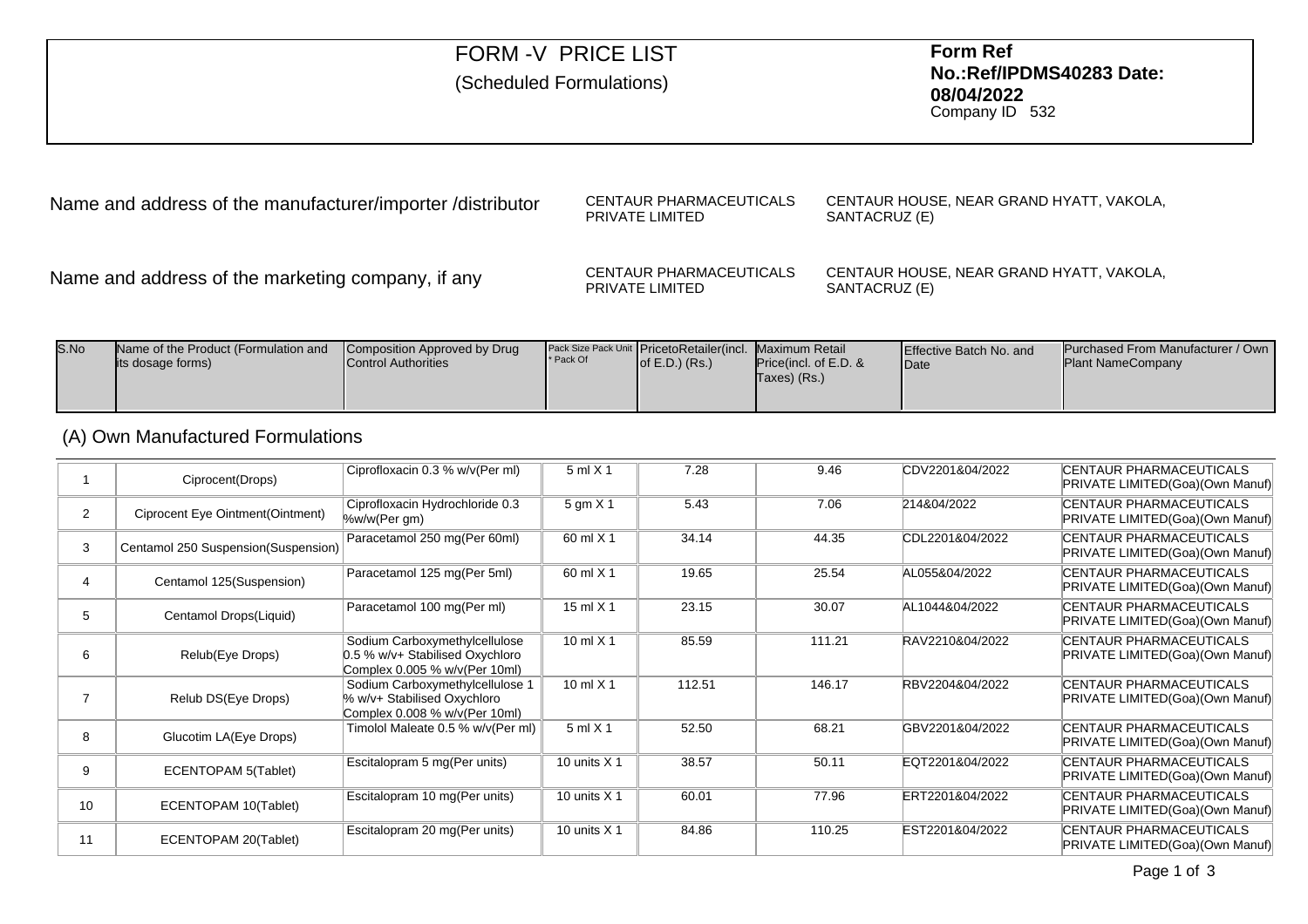| <b>FORM -V PRICE LIST</b><br>(Scheduled Formulations)      |                                            | <b>Form Ref</b><br>No.:Ref/IPDMS40283 Date:<br>08/04/2022<br>Company ID 532 |  |  |
|------------------------------------------------------------|--------------------------------------------|-----------------------------------------------------------------------------|--|--|
| Name and address of the manufacturer/importer /distributor | CENTAUR PHARMACEUTICALS<br>PRIVATE LIMITED | CENTAUR HOUSE, NEAR GRAND HYATT, VAKOLA,<br>SANTACRUZ (E)                   |  |  |

Name and address of the marketing company, if any

CENTAUR PHARMACEUTICALSPRIVATE LIMITEDCENTAUR HOUSE, NEAR GRAND HYATT, VAKOLA, SANTACRUZ (E)

| S.No | Name of the Product (Formulation and<br>lits dosage forms) | Composition Approved by Drug<br><b>Control Authorities</b> | * Pack Of | Pack Size Pack Unit PricetoRetailer(incl. Maximum Retail<br>of $E.D.$ ) $(Rs.)$ | <b>Price</b> (incl. of E.D. &<br>Taxes) (Rs.) | <b>Effective Batch No. and</b><br><b>IDate</b> | <b>Purchased From Manufacturer / Own I</b><br><b>Plant NameCompany</b> |
|------|------------------------------------------------------------|------------------------------------------------------------|-----------|---------------------------------------------------------------------------------|-----------------------------------------------|------------------------------------------------|------------------------------------------------------------------------|
|------|------------------------------------------------------------|------------------------------------------------------------|-----------|---------------------------------------------------------------------------------|-----------------------------------------------|------------------------------------------------|------------------------------------------------------------------------|

# (A) Own Manufactured Formulations

|                | Ciprocent(Drops)                    | Ciprofloxacin 0.3 % w/v(Per ml)                                                                   | $5$ ml $\times$ 1 | 7.28   | 9.46   | CDV2201&04/2022 | <b>CENTAUR PHARMACEUTICALS</b><br>PRIVATE LIMITED(Goa)(Own Manuf) |
|----------------|-------------------------------------|---------------------------------------------------------------------------------------------------|-------------------|--------|--------|-----------------|-------------------------------------------------------------------|
| $\overline{2}$ | Ciprocent Eye Ointment(Ointment)    | Ciprofloxacin Hydrochloride 0.3<br>%w/w(Per gm)                                                   | 5 gm X 1          | 5.43   | 7.06   | 214&04/2022     | <b>CENTAUR PHARMACEUTICALS</b><br>PRIVATE LIMITED(Goa)(Own Manuf) |
|                | Centamol 250 Suspension(Suspension) | Paracetamol 250 mg (Per 60ml)                                                                     | 60 ml X 1         | 34.14  | 44.35  | CDL2201&04/2022 | <b>CENTAUR PHARMACEUTICALS</b><br>PRIVATE LIMITED(Goa)(Own Manuf) |
|                | Centamol 125(Suspension)            | Paracetamol 125 mg (Per 5ml)                                                                      | 60 ml X 1         | 19.65  | 25.54  | AL055&04/2022   | <b>CENTAUR PHARMACEUTICALS</b><br>PRIVATE LIMITED(Goa)(Own Manuf) |
| 5              | Centamol Drops(Liquid)              | Paracetamol 100 mg(Per ml)                                                                        | 15 ml $\times$ 1  | 23.15  | 30.07  | AL1044&04/2022  | <b>CENTAUR PHARMACEUTICALS</b><br>PRIVATE LIMITED(Goa)(Own Manuf) |
| 6              | Relub(Eye Drops)                    | Sodium Carboxymethylcellulose<br>0.5 % w/v+ Stabilised Oxychloro<br>Complex 0.005 % w/v(Per 10ml) | 10 ml $X$ 1       | 85.59  | 111.21 | RAV2210&04/2022 | <b>CENTAUR PHARMACEUTICALS</b><br>PRIVATE LIMITED(Goa)(Own Manuf) |
|                | Relub DS(Eye Drops)                 | Sodium Carboxymethylcellulose 1<br>% w/v+ Stabilised Oxychloro<br>Complex 0.008 % w/v(Per 10ml)   | 10 ml $X$ 1       | 112.51 | 146.17 | RBV2204&04/2022 | CENTAUR PHARMACEUTICALS<br>PRIVATE LIMITED(Goa)(Own Manuf)        |
| 8              | Glucotim LA(Eye Drops)              | Timolol Maleate 0.5 % w/v(Per ml)                                                                 | $5$ ml $X$ 1      | 52.50  | 68.21  | GBV2201&04/2022 | <b>CENTAUR PHARMACEUTICALS</b><br>PRIVATE LIMITED(Goa)(Own Manuf) |
| 9              | ECENTOPAM 5(Tablet)                 | Escitalopram 5 mg(Per units)                                                                      | 10 units $X$ 1    | 38.57  | 50.11  | EQT2201&04/2022 | <b>CENTAUR PHARMACEUTICALS</b><br>PRIVATE LIMITED(Goa)(Own Manuf) |
| 10             | ECENTOPAM 10(Tablet)                | Escitalopram 10 mg(Per units)                                                                     | 10 units $X$ 1    | 60.01  | 77.96  | ERT2201&04/2022 | <b>CENTAUR PHARMACEUTICALS</b><br>PRIVATE LIMITED(Goa)(Own Manuf) |
| 11             | ECENTOPAM 20(Tablet)                | Escitalopram 20 mg(Per units)                                                                     | 10 units $X$ 1    | 84.86  | 110.25 | EST2201&04/2022 | <b>CENTAUR PHARMACEUTICALS</b><br>PRIVATE LIMITED(Goa)(Own Manuf) |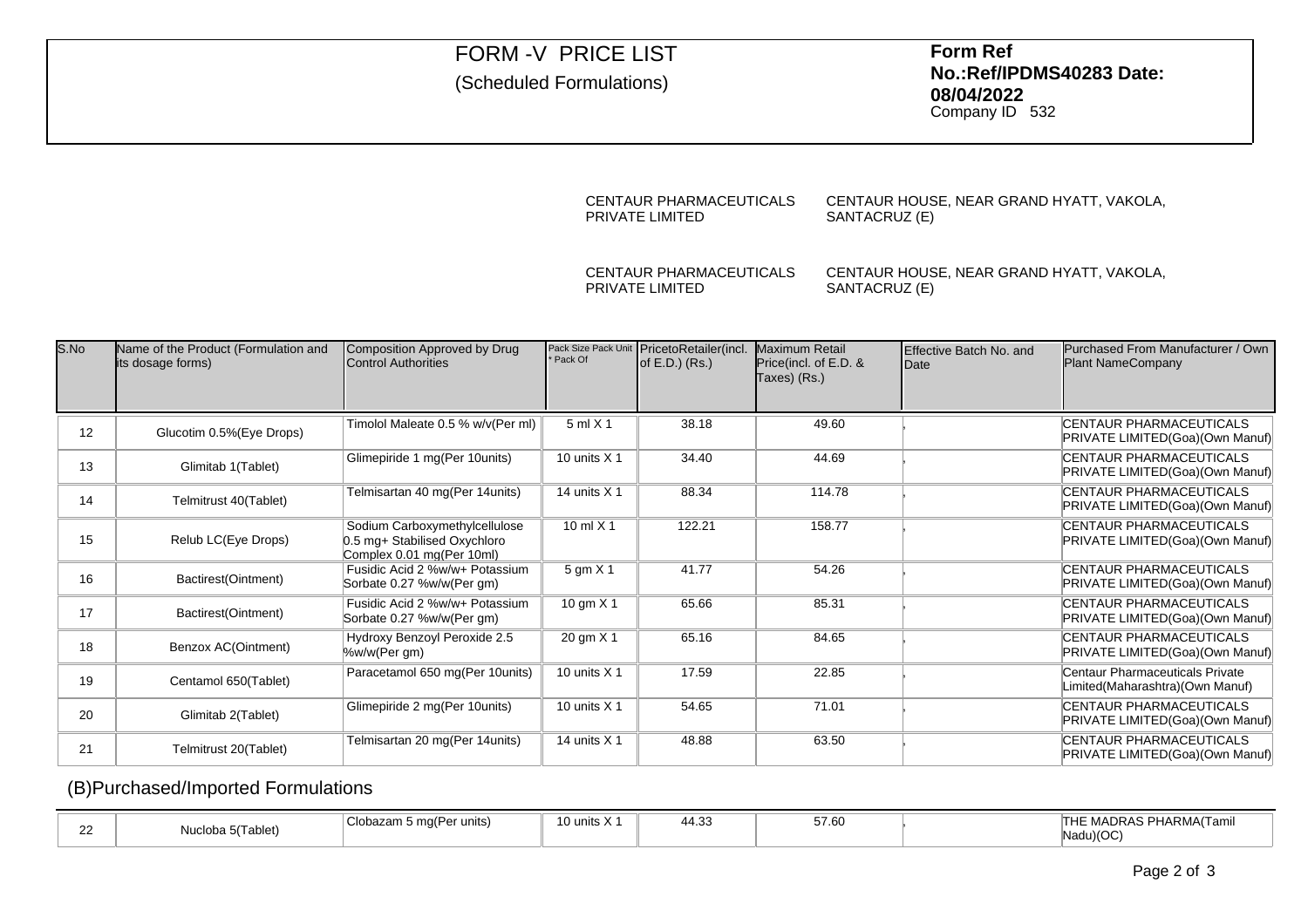# FORM -V PRICE LIST

# (Scheduled Formulations)

 **Form Ref No.:Ref/IPDMS40283 Date:08/04/2022**

Company ID <sup>532</sup>

#### CENTAUR PHARMACEUTICALSPRIVATE LIMITEDCENTAUR HOUSE, NEAR GRAND HYATT, VAKOLA,SANTACRUZ (E)

### CENTAUR PHARMACEUTICALSPRIVATE LIMITED

CENTAUR HOUSE, NEAR GRAND HYATT, VAKOLA,SANTACRUZ (E)

| S.No | Name of the Product (Formulation and<br>its dosage forms) | Composition Approved by Drug<br><b>Control Authorities</b>                                 | Pack Of        | Pack Size Pack Unit PricetoRetailer(incl.<br>of $E.D.$ ) ( $Rs.$ ) | Maximum Retail<br>Price(incl. of E.D. &<br>Taxes) (Rs.) | Effective Batch No. and<br><b>IDate</b> | Purchased From Manufacturer / Own<br>Plant NameCompany             |
|------|-----------------------------------------------------------|--------------------------------------------------------------------------------------------|----------------|--------------------------------------------------------------------|---------------------------------------------------------|-----------------------------------------|--------------------------------------------------------------------|
| 12   | Glucotim 0.5% (Eye Drops)                                 | Timolol Maleate 0.5 % w/v(Per ml)                                                          | $5$ ml $X$ 1   | 38.18                                                              | 49.60                                                   |                                         | <b>CENTAUR PHARMACEUTICALS</b><br>PRIVATE LIMITED(Goa)(Own Manuf)  |
| 13   | Glimitab 1(Tablet)                                        | Glimepiride 1 mg(Per 10units)                                                              | 10 units $X$ 1 | 34.40                                                              | 44.69                                                   |                                         | <b>CENTAUR PHARMACEUTICALS</b><br>PRIVATE LIMITED(Goa)(Own Manuf)  |
| 14   | Telmitrust 40(Tablet)                                     | Telmisartan 40 mg (Per 14 units)                                                           | 14 units $X$ 1 | 88.34                                                              | 114.78                                                  |                                         | CENTAUR PHARMACEUTICALS<br>PRIVATE LIMITED(Goa)(Own Manuf)         |
| 15   | Relub LC(Eye Drops)                                       | Sodium Carboxymethylcellulose<br>0.5 mg+ Stabilised Oxychloro<br>Complex 0.01 mg(Per 10ml) | 10 ml $X$ 1    | 122.21                                                             | 158.77                                                  |                                         | CENTAUR PHARMACEUTICALS<br>PRIVATE LIMITED(Goa)(Own Manuf)         |
| 16   | Bactirest(Ointment)                                       | Fusidic Acid 2 %w/w+ Potassium<br>Sorbate 0.27 %w/w(Per gm)                                | 5 gm X 1       | 41.77                                                              | 54.26                                                   |                                         | <b>CENTAUR PHARMACEUTICALS</b><br>PRIVATE LIMITED(Goa)(Own Manuf)  |
| 17   | Bactirest(Ointment)                                       | Fusidic Acid 2 %w/w+ Potassium<br>Sorbate 0.27 %w/w(Per gm)                                | 10 gm $X$ 1    | 65.66                                                              | 85.31                                                   |                                         | <b>CENTAUR PHARMACEUTICALS</b><br>PRIVATE LIMITED(Goa)(Own Manuf)  |
| 18   | Benzox AC(Ointment)                                       | Hydroxy Benzoyl Peroxide 2.5<br>%w/w(Per gm)                                               | 20 gm X 1      | 65.16                                                              | 84.65                                                   |                                         | <b>CENTAUR PHARMACEUTICALS</b><br>PRIVATE LIMITED(Goa)(Own Manuf)  |
| 19   | Centamol 650(Tablet)                                      | Paracetamol 650 mg(Per 10units)                                                            | 10 units $X$ 1 | 17.59                                                              | 22.85                                                   |                                         | Centaur Pharmaceuticals Private<br>Limited(Maharashtra)(Own Manuf) |
| 20   | Glimitab 2(Tablet)                                        | Glimepiride 2 mg(Per 10units)                                                              | 10 units $X$ 1 | 54.65                                                              | 71.01                                                   |                                         | <b>CENTAUR PHARMACEUTICALS</b><br>PRIVATE LIMITED(Goa)(Own Manuf)  |
| 21   | Telmitrust 20(Tablet)                                     | Telmisartan 20 mg (Per 14 units)                                                           | 14 units $X$ 1 | 48.88                                                              | 63.50                                                   |                                         | <b>CENTAUR PHARMACEUTICALS</b><br>PRIVATE LIMITED(Goa)(Own Manuf)  |

## (B)Purchased/Imported Formulations

|        |                   |                          |            | <b>A</b> O | $-7.00$ |                         |
|--------|-------------------|--------------------------|------------|------------|---------|-------------------------|
| $\sim$ |                   | Clobazam 5 mg(Per units) | 10 units X | ـد44.3     | 57.60   | THE MADRAS PHARMA(Tamil |
| --     | Nucloba 5(Tablet) |                          |            |            |         | Nadu)(OC                |